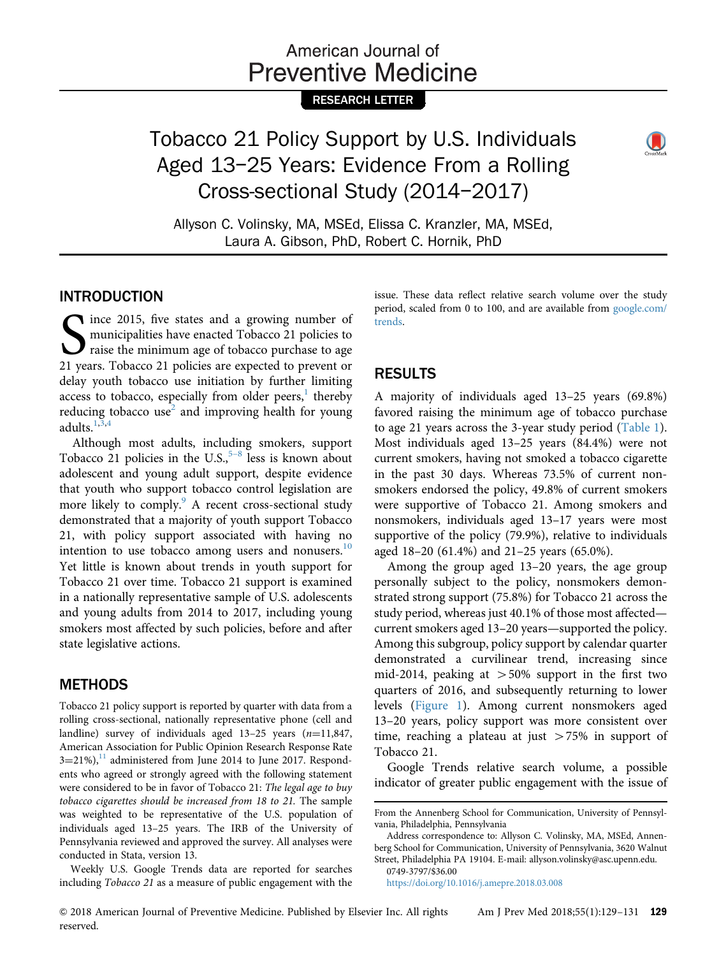# American Journal of **Preventive Medicine**

## RESEARCH LETTER

# Tobacco 21 Policy Support by U.S. Individuals Aged 13–25 Years: Evidence From a Rolling Cross-sectional Study (2014–2017)



Allyson C. Volinsky, MA, MSEd, Elissa C. Kranzler, MA, MSEd, Laura A. Gibson, PhD, Robert C. Hornik, PhD

### **INTRODUCTION**

ince 2015, five states and a growing number of Since 2015, five states and a growing number of municipalities have enacted Tobacco 21 policies to raise the minimum age of tobacco purchase to age 21 years. Tobacco 21 policies are expected to prevent or municipalities have enacted Tobacco 21 policies to raise the minimum age of tobacco purchase to age delay youth tobacco use initiation by further limiting access to tobacco, especially from older peers, $<sup>1</sup>$  $<sup>1</sup>$  $<sup>1</sup>$  thereby</sup> reducing tobacco use<sup>[2](#page-2-0)</sup> and improving health for young adults. $1,3,4$  $1,3,4$ 

Although most adults, including smokers, support Tobacco 21 policies in the U.S., $5-8$  $5-8$  less is known about adolescent and young adult support, despite evidence that youth who support tobacco control legislation are more likely to comply.<sup>[9](#page-2-0)</sup> A recent cross-sectional study demonstrated that a majority of youth support Tobacco 21, with policy support associated with having no intention to use tobacco among users and nonusers. $10$ Yet little is known about trends in youth support for Tobacco 21 over time. Tobacco 21 support is examined in a nationally representative sample of U.S. adolescents and young adults from 2014 to 2017, including young smokers most affected by such policies, before and after state legislative actions.

# **METHODS**

Tobacco 21 policy support is reported by quarter with data from a rolling cross-sectional, nationally representative phone (cell and landline) survey of individuals aged  $13-25$  years  $(n=11,847,$ American Association for Public Opinion Research Response Rate  $3=21\%$ ,<sup>[11](#page-2-0)</sup> administered from June 2014 to June 2017. Respondents who agreed or strongly agreed with the following statement were considered to be in favor of Tobacco 21: The legal age to buy tobacco cigarettes should be increased from 18 to 21. The sample was weighted to be representative of the U.S. population of individuals aged 13–25 years. The IRB of the University of Pennsylvania reviewed and approved the survey. All analyses were conducted in Stata, version 13.

Weekly U.S. Google Trends data are reported for searches including Tobacco 21 as a measure of public engagement with the

issue. These data reflect relative search volume over the study period, scaled from 0 to 100, and are available from [google.com/](http://google.com/trends) [trends.](http://google.com/trends)

# **RESULTS**

. . . . . . . .<br>A majority of individuals aged 13–25 years (69.8%) favored raising the minimum age of tobacco purchase to age 21 years across the 3-year study period ([Table 1](#page-1-0)). Most individuals aged 13–25 years (84.4%) were not current smokers, having not smoked a tobacco cigarette in the past 30 days. Whereas 73.5% of current nonsmokers endorsed the policy, 49.8% of current smokers were supportive of Tobacco 21. Among smokers and nonsmokers, individuals aged 13–17 years were most supportive of the policy (79.9%), relative to individuals aged 18–20 (61.4%) and 21–25 years (65.0%).

Among the group aged 13–20 years, the age group personally subject to the policy, nonsmokers demonstrated strong support (75.8%) for Tobacco 21 across the study period, whereas just 40.1% of those most affected current smokers aged 13–20 years—supported the policy. Among this subgroup, policy support by calendar quarter demonstrated a curvilinear trend, increasing since mid-2014, peaking at  $>50\%$  support in the first two quarters of 2016, and subsequently returning to lower levels ([Figure 1](#page-1-0)). Among current nonsmokers aged 13–20 years, policy support was more consistent over time, reaching a plateau at just  $>75\%$  in support of Tobacco 21.

Google Trends relative search volume, a possible indicator of greater public engagement with the issue of

0749-3797/\$36.00

<https://doi.org/10.1016/j.amepre.2018.03.008>

From the Annenberg School for Communication, University of Pennsylvania, Philadelphia, Pennsylvania

Address correspondence to: Allyson C. Volinsky, MA, MSEd, Annenberg School for Communication, University of Pennsylvania, 3620 Walnut Street, Philadelphia PA 19104. E-mail: [allyson.volinsky@asc.upenn.edu.](mailto:allyson.volinsky@asc.upenn.edu)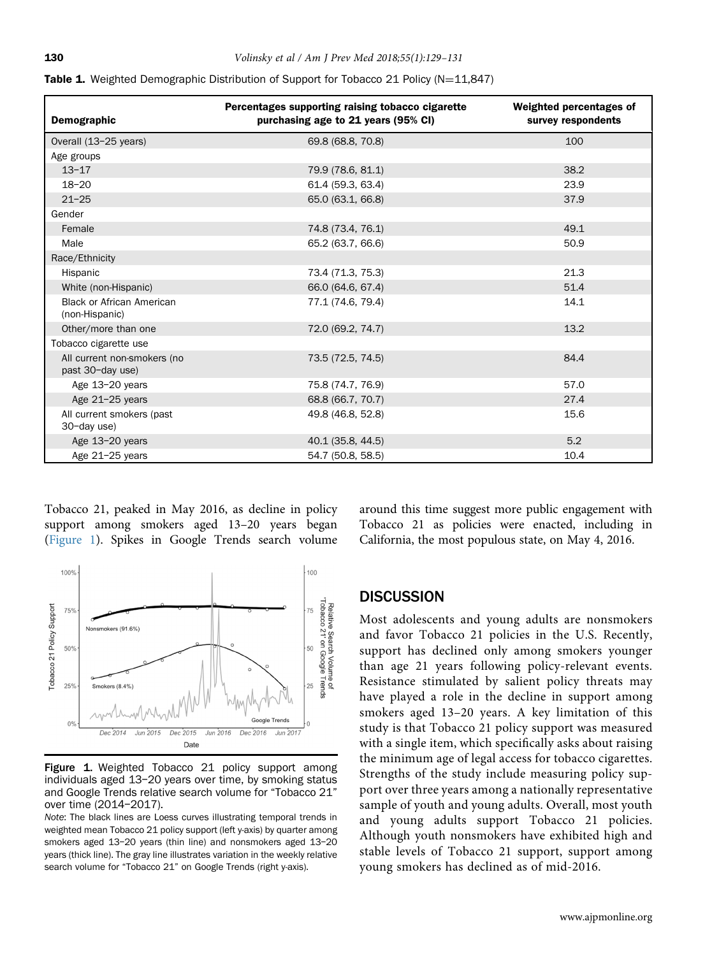| Demographic                                        | Percentages supporting raising tobacco cigarette<br>purchasing age to 21 years (95% CI) | Weighted percentages of<br>survey respondents |
|----------------------------------------------------|-----------------------------------------------------------------------------------------|-----------------------------------------------|
| Overall (13-25 years)                              | 69.8 (68.8, 70.8)                                                                       | 100                                           |
| Age groups                                         |                                                                                         |                                               |
| $13 - 17$                                          | 79.9 (78.6, 81.1)                                                                       | 38.2                                          |
| $18 - 20$                                          | 61.4 (59.3, 63.4)                                                                       | 23.9                                          |
| $21 - 25$                                          | 65.0 (63.1, 66.8)                                                                       | 37.9                                          |
| Gender                                             |                                                                                         |                                               |
| Female                                             | 74.8 (73.4, 76.1)                                                                       | 49.1                                          |
| Male                                               | 65.2 (63.7, 66.6)                                                                       | 50.9                                          |
| Race/Ethnicity                                     |                                                                                         |                                               |
| Hispanic                                           | 73.4 (71.3, 75.3)                                                                       | 21.3                                          |
| White (non-Hispanic)                               | 66.0 (64.6, 67.4)                                                                       | 51.4                                          |
| <b>Black or African American</b><br>(non-Hispanic) | 77.1 (74.6, 79.4)                                                                       | 14.1                                          |
| Other/more than one                                | 72.0 (69.2, 74.7)                                                                       | 13.2                                          |
| Tobacco cigarette use                              |                                                                                         |                                               |
| All current non-smokers (no<br>past 30-day use)    | 73.5 (72.5, 74.5)                                                                       | 84.4                                          |
| Age 13-20 years                                    | 75.8 (74.7, 76.9)                                                                       | 57.0                                          |
| Age 21-25 years                                    | 68.8 (66.7, 70.7)                                                                       | 27.4                                          |
| All current smokers (past<br>30-day use)           | 49.8 (46.8, 52.8)                                                                       | 15.6                                          |
| Age 13-20 years                                    | 40.1 (35.8, 44.5)                                                                       | 5.2                                           |
| Age 21-25 years                                    | 54.7 (50.8, 58.5)                                                                       | 10.4                                          |

<span id="page-1-0"></span>

|  |  |  | <b>Table 1.</b> Weighted Demographic Distribution of Support for Tobacco 21 Policy ( $N=11,847$ ) |
|--|--|--|---------------------------------------------------------------------------------------------------|
|  |  |  |                                                                                                   |

Tobacco 21, peaked in May 2016, as decline in policy support among smokers aged 13–20 years began (Figure 1). Spikes in Google Trends search volume



Figure 1. Weighted Tobacco 21 policy support among individuals aged 13–20 years over time, by smoking status and Google Trends relative search volume for "Tobacco 21" over time (2014–2017).

Note: The black lines are Loess curves illustrating temporal trends in weighted mean Tobacco 21 policy support (left y-axis) by quarter among smokers aged 13–20 years (thin line) and nonsmokers aged 13–20 years (thick line). The gray line illustrates variation in the weekly relative search volume for "Tobacco 21" on Google Trends (right y-axis).

around this time suggest more public engagement with Tobacco 21 as policies were enacted, including in California, the most populous state, on May 4, 2016.

Most adolescents and young adults are nonsmokers and favor Tobacco 21 policies in the U.S. Recently, support has declined only among smokers younger than age 21 years following policy-relevant events. Resistance stimulated by salient policy threats may have played a role in the decline in support among smokers aged 13–20 years. A key limitation of this study is that Tobacco 21 policy support was measured with a single item, which specifically asks about raising the minimum age of legal access for tobacco cigarettes. Strengths of the study include measuring policy support over three years among a nationally representative sample of youth and young adults. Overall, most youth and young adults support Tobacco 21 policies. Although youth nonsmokers have exhibited high and stable levels of Tobacco 21 support, support among young smokers has declined as of mid-2016.